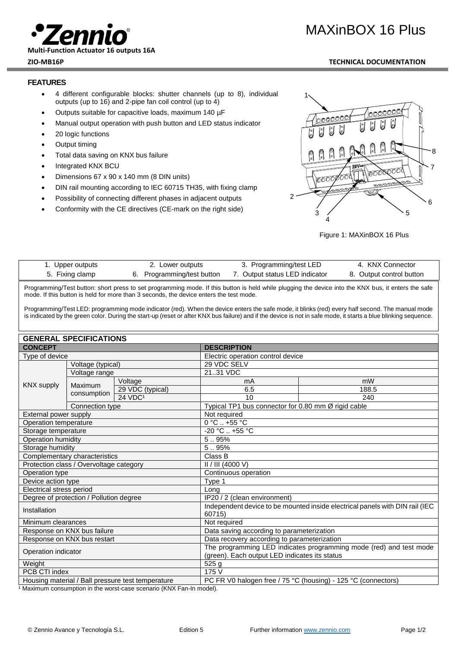

**Multi-Function Actuator 16 outputs 16A**

# MAXinBOX 16 Plus

### **ZIO-MB16P TECHNICAL DOCUMENTATION**

## **FEATURES**

- 4 different configurable blocks: shutter channels (up to 8), individual outputs (up to 16) and 2-pipe fan coil control (up to 4)
- Outputs suitable for capacitive loads, maximum 140 µF
- Manual output operation with push button and LED status indicator
- 20 logic functions
- Output timing
- Total data saving on KNX bus failure
- Integrated KNX BCU
- Dimensions 67 x 90 x 140 mm (8 DIN units)
- DIN rail mounting according to IEC 60715 TH35, with fixing clamp
- Possibility of connecting different phases in adjacent outputs
- Conformity with the CE directives (CE-mark on the right side)



Figure 1: MAXinBOX 16 Plus

| 1. Upper outputs | 2. Lower outputs           | 3. Programming/test LED        | 4. KNX Connector         |
|------------------|----------------------------|--------------------------------|--------------------------|
| 5. Fixing clamp  | 6. Programming/test button | 7. Output status LED indicator | 8. Output control button |

Programming/Test button: short press to set programming mode. If this button is held while plugging the device into the KNX bus, it enters the safe mode. If this button is held for more than 3 seconds, the device enters the test mode.

Programming/Test LED: programming mode indicator (red). When the device enters the safe mode, it blinks (red) every half second. The manual mode is indicated by the green color. During the start-up (reset or after KNX bus failure) and if the device is not in safe mode, it starts a blue blinking sequence.

| <b>GENERAL SPECIFICATIONS</b>                     |                 |                                                                                                                     |                                                               |                                                     |  |
|---------------------------------------------------|-----------------|---------------------------------------------------------------------------------------------------------------------|---------------------------------------------------------------|-----------------------------------------------------|--|
| <b>CONCEPT</b>                                    |                 | <b>DESCRIPTION</b>                                                                                                  |                                                               |                                                     |  |
| Type of device                                    |                 |                                                                                                                     | Electric operation control device                             |                                                     |  |
| Voltage (typical)                                 |                 | 29 VDC SELV                                                                                                         |                                                               |                                                     |  |
| Voltage range                                     |                 |                                                                                                                     | 2131 VDC                                                      |                                                     |  |
| <b>KNX supply</b>                                 |                 | Voltage                                                                                                             | mA                                                            | mW                                                  |  |
|                                                   | Maximum         | 29 VDC (typical)                                                                                                    | 6.5                                                           | 188.5                                               |  |
|                                                   | consumption     | $24$ VDC <sup>1</sup>                                                                                               | 10                                                            | 240                                                 |  |
|                                                   | Connection type |                                                                                                                     |                                                               | Typical TP1 bus connector for 0.80 mm Ø rigid cable |  |
| External power supply                             |                 | Not required                                                                                                        |                                                               |                                                     |  |
| <b>Operation temperature</b>                      |                 | $0^\circ \text{C}$ +55 $^\circ \text{C}$                                                                            |                                                               |                                                     |  |
| Storage temperature                               |                 |                                                                                                                     | -20 °C  +55 °C                                                |                                                     |  |
| Operation humidity                                |                 | 5.95%                                                                                                               |                                                               |                                                     |  |
| Storage humidity                                  |                 | 5.95%                                                                                                               |                                                               |                                                     |  |
| Complementary characteristics                     |                 | Class B                                                                                                             |                                                               |                                                     |  |
| Protection class / Overvoltage category           |                 | II / III (4000 V)                                                                                                   |                                                               |                                                     |  |
| Operation type                                    |                 |                                                                                                                     | Continuous operation                                          |                                                     |  |
| Device action type                                |                 | Type 1                                                                                                              |                                                               |                                                     |  |
| Electrical stress period                          |                 | Long                                                                                                                |                                                               |                                                     |  |
| Degree of protection / Pollution degree           |                 | IP20 / 2 (clean environment)                                                                                        |                                                               |                                                     |  |
| Installation                                      |                 | Independent device to be mounted inside electrical panels with DIN rail (IEC<br>60715)                              |                                                               |                                                     |  |
| Minimum clearances                                |                 | Not required                                                                                                        |                                                               |                                                     |  |
| Response on KNX bus failure                       |                 | Data saving according to parameterization                                                                           |                                                               |                                                     |  |
| Response on KNX bus restart                       |                 | Data recovery according to parameterization                                                                         |                                                               |                                                     |  |
| Operation indicator                               |                 | The programming LED indicates programming mode (red) and test mode<br>(green). Each output LED indicates its status |                                                               |                                                     |  |
| Weight                                            |                 | 525 <sub>g</sub>                                                                                                    |                                                               |                                                     |  |
| PCB CTI index                                     |                 | 175 V                                                                                                               |                                                               |                                                     |  |
| Housing material / Ball pressure test temperature |                 |                                                                                                                     | PC FR V0 halogen free / 75 °C (housing) - 125 °C (connectors) |                                                     |  |

worst-case scenario (KNX Fan-In model). 1 Maximum consumption in the worst-case scenario (KNX Fan-In model).